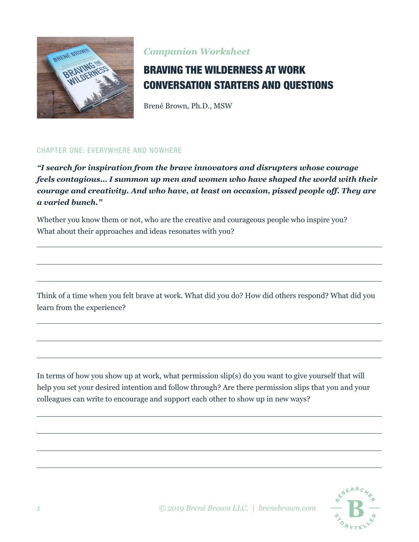

## *Companion Worksheet*

## BRAVING THE WILDERNESS AT WORK CONVERSATION STARTERS AND QUESTIONS

Brené Brown, Ph.D., MSW

#### CHAPTER ONE: EVERYWHERE AND NOWHERE

*"I search for inspiration from the brave innovators and disrupters whose courage feels contagious… I summon up men and women who have shaped the world with their courage and creativity. And who have, at least on occasion, pissed people off. They are a varied bunch."*

Whether you know them or not, who are the creative and courageous people who inspire you? What about their approaches and ideas resonates with you?

Think of a time when you felt brave at work. What did you do? How did others respond? What did you learn from the experience?

In terms of how you show up at work, what permission slip(s) do you want to give yourself that will help you set your desired intention and follow through? Are there permission slips that you and your colleagues can write to encourage and support each other to show up in new ways?

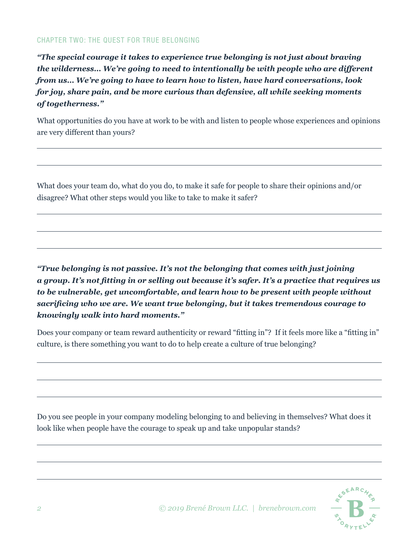#### CHAPTER TWO: THE QUEST FOR TRUE BELONGING

*"The special courage it takes to experience true belonging is not just about braving the wilderness… We're going to need to intentionally be with people who are different from us… We're going to have to learn how to listen, have hard conversations, look for joy, share pain, and be more curious than defensive, all while seeking moments of togetherness."*

What opportunities do you have at work to be with and listen to people whose experiences and opinions are very different than yours?

What does your team do, what do you do, to make it safe for people to share their opinions and/or disagree? What other steps would you like to take to make it safer?

*"True belonging is not passive. It's not the belonging that comes with just joining a group. It's not fitting in or selling out because it's safer. It's a practice that requires us to be vulnerable, get uncomfortable, and learn how to be present with people without sacrificing who we are. We want true belonging, but it takes tremendous courage to knowingly walk into hard moments."*

Does your company or team reward authenticity or reward "fitting in"? If it feels more like a "fitting in" culture, is there something you want to do to help create a culture of true belonging?

Do you see people in your company modeling belonging to and believing in themselves? What does it look like when people have the courage to speak up and take unpopular stands?

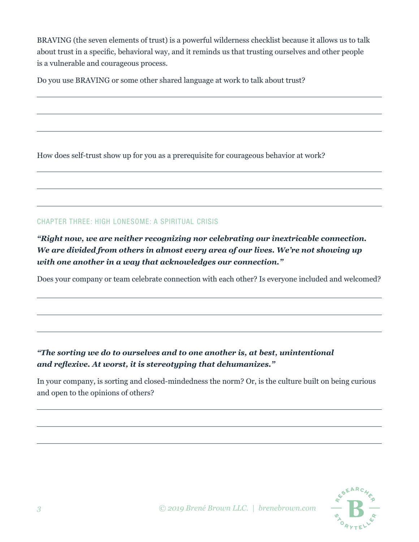BRAVING (the seven elements of trust) is a powerful wilderness checklist because it allows us to talk about trust in a specific, behavioral way, and it reminds us that trusting ourselves and other people is a vulnerable and courageous process.

Do you use BRAVING or some other shared language at work to talk about trust?

How does self-trust show up for you as a prerequisite for courageous behavior at work?

#### CHAPTER THREE: HIGH LONESOME: A SPIRITUAL CRISIS

*"Right now, we are neither recognizing nor celebrating our inextricable connection. We are divided from others in almost every area of our lives. We're not showing up with one another in a way that acknowledges our connection."*

Does your company or team celebrate connection with each other? Is everyone included and welcomed?

## *"The sorting we do to ourselves and to one another is, at best, unintentional and reflexive. At worst, it is stereotyping that dehumanizes."*

In your company, is sorting and closed-mindedness the norm? Or, is the culture built on being curious and open to the opinions of others?

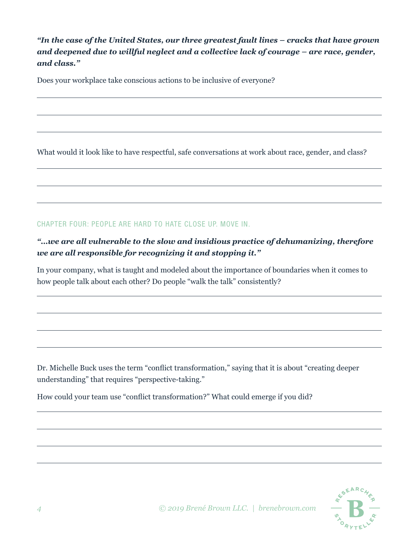*"In the case of the United States, our three greatest fault lines – cracks that have grown and deepened due to willful neglect and a collective lack of courage – are race, gender, and class."* 

Does your workplace take conscious actions to be inclusive of everyone?

What would it look like to have respectful, safe conversations at work about race, gender, and class?

CHAPTER FOUR: PEOPLE ARE HARD TO HATE CLOSE UP. MOVE IN.

## *"…we are all vulnerable to the slow and insidious practice of dehumanizing, therefore we are all responsible for recognizing it and stopping it."*

In your company, what is taught and modeled about the importance of boundaries when it comes to how people talk about each other? Do people "walk the talk" consistently?

Dr. Michelle Buck uses the term "conflict transformation," saying that it is about "creating deeper understanding" that requires "perspective-taking."

How could your team use "conflict transformation?" What could emerge if you did?

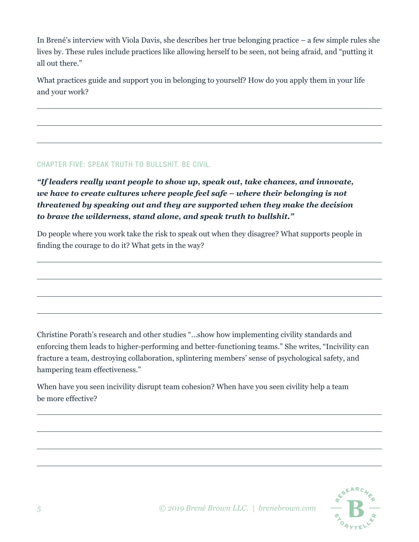In Brené's interview with Viola Davis, she describes her true belonging practice – a few simple rules she lives by. These rules include practices like allowing herself to be seen, not being afraid, and "putting it all out there."

What practices guide and support you in belonging to yourself? How do you apply them in your life and your work?

#### CHAPTER FIVE: SPEAK TRUTH TO BULLSHIT. BE CIVIL.

*"If leaders really want people to show up, speak out, take chances, and innovate, we have to create cultures where people feel safe – where their belonging is not threatened by speaking out and they are supported when they make the decision to brave the wilderness, stand alone, and speak truth to bullshit."* 

Do people where you work take the risk to speak out when they disagree? What supports people in finding the courage to do it? What gets in the way?

Christine Porath's research and other studies "…show how implementing civility standards and enforcing them leads to higher-performing and better-functioning teams." She writes, "Incivility can fracture a team, destroying collaboration, splintering members' sense of psychological safety, and hampering team effectiveness."

When have you seen incivility disrupt team cohesion? When have you seen civility help a team be more effective?

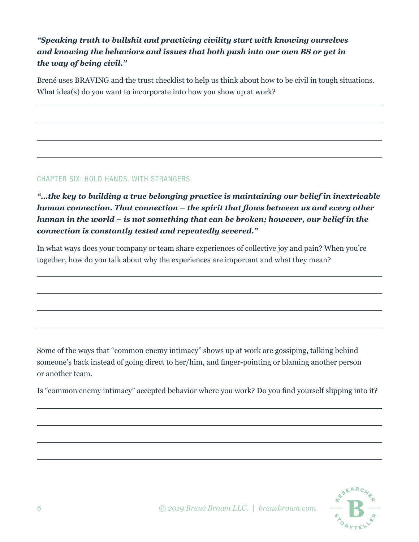## *"Speaking truth to bullshit and practicing civility start with knowing ourselves and knowing the behaviors and issues that both push into our own BS or get in the way of being civil."*

Brené uses BRAVING and the trust checklist to help us think about how to be civil in tough situations. What idea(s) do you want to incorporate into how you show up at work?

#### CHAPTER SIX: HOLD HANDS. WITH STRANGERS.

*"…the key to building a true belonging practice is maintaining our belief in inextricable human connection. That connection – the spirit that flows between us and every other human in the world – is not something that can be broken; however, our belief in the connection is constantly tested and repeatedly severed."*

In what ways does your company or team share experiences of collective joy and pain? When you're together, how do you talk about why the experiences are important and what they mean?

Some of the ways that "common enemy intimacy" shows up at work are gossiping, talking behind someone's back instead of going direct to her/him, and finger-pointing or blaming another person or another team.

Is "common enemy intimacy" accepted behavior where you work? Do you find yourself slipping into it?

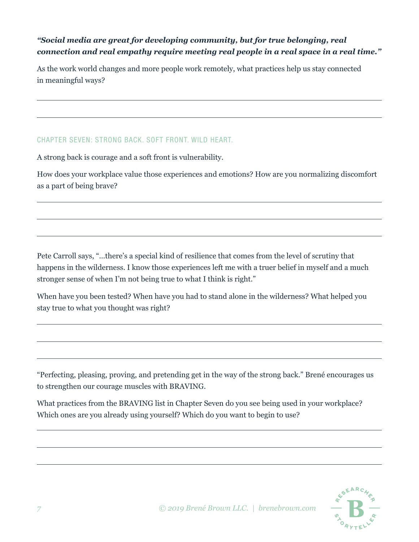### *"Social media are great for developing community, but for true belonging, real connection and real empathy require meeting real people in a real space in a real time."*

As the work world changes and more people work remotely, what practices help us stay connected in meaningful ways?

#### CHAPTER SEVEN: STRONG BACK. SOFT FRONT. WILD HEART.

A strong back is courage and a soft front is vulnerability.

How does your workplace value those experiences and emotions? How are you normalizing discomfort as a part of being brave?

Pete Carroll says, "…there's a special kind of resilience that comes from the level of scrutiny that happens in the wilderness. I know those experiences left me with a truer belief in myself and a much stronger sense of when I'm not being true to what I think is right."

When have you been tested? When have you had to stand alone in the wilderness? What helped you stay true to what you thought was right?

"Perfecting, pleasing, proving, and pretending get in the way of the strong back." Brené encourages us to strengthen our courage muscles with BRAVING.

What practices from the BRAVING list in Chapter Seven do you see being used in your workplace? Which ones are you already using yourself? Which do you want to begin to use?

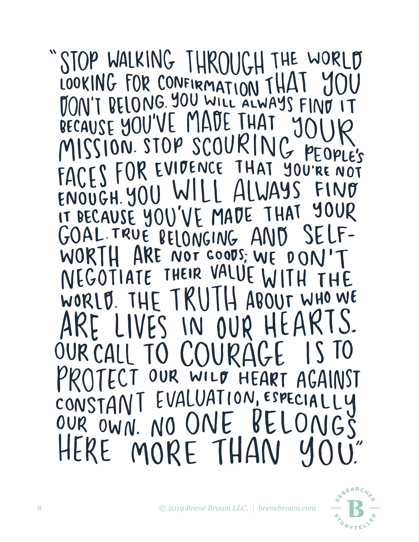# STOP WALKING THROUGH THE WORLD LOOKING FOR CONFIRMATION THAT Y BECAUSE YOU'VE MADE THAT MISSION STOP SCOURIN G PEOPLE'S<br>YOU'RE NOT<br>YOU'RE NOT FACES FOR EVIDENCE THAT ENOUGH. YOU WI YOUR IT DECAUSE YOU'VE MADE THAT GOAL TRUE BELONGING AND<br>WORTH ARE NOT GOODS; WE D  $0<sub>0</sub>$ IATE THEIR VALUE NEGOT THE TRUI WHO WE WORLD. ABOUT IVES IN OUR HEA  $\bm{A}$ ALL TO COURI UR WILD HEART EVALUATION, ESPECIAL LY CONSTAN I NGS OUR OWN. NO ONE  $\bm{\mathsf{K}}$ HERE MORE THAN